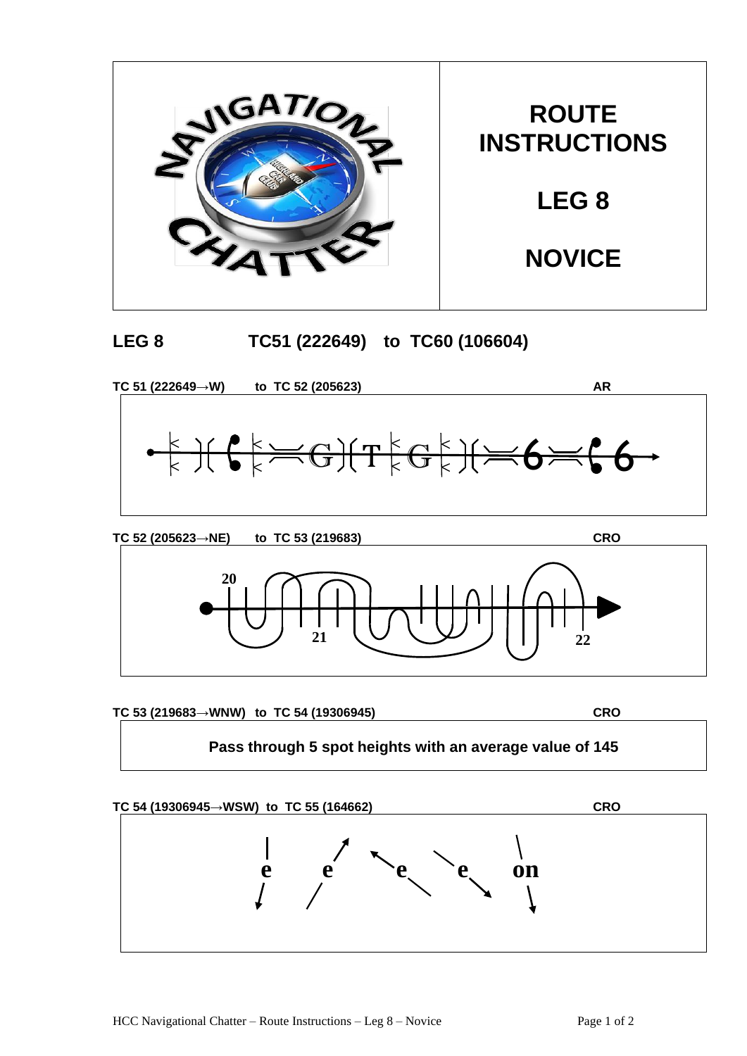